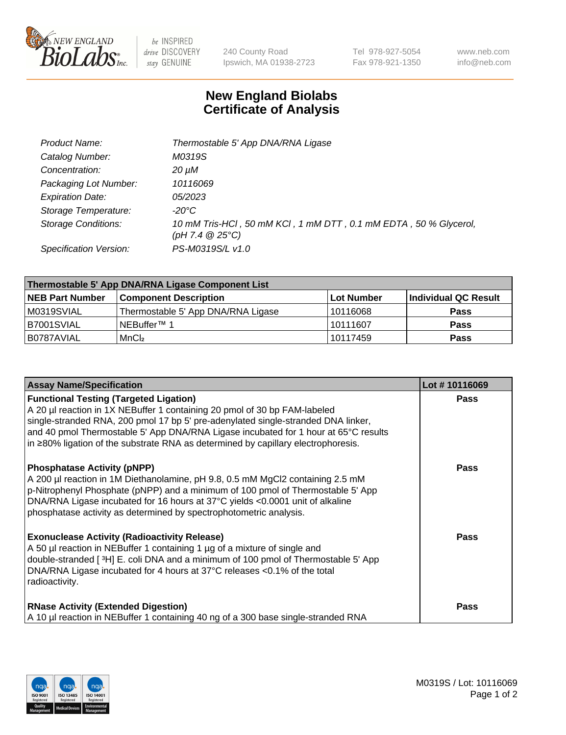

 $be$  INSPIRED drive DISCOVERY stay GENUINE

240 County Road Ipswich, MA 01938-2723 Tel 978-927-5054 Fax 978-921-1350 www.neb.com info@neb.com

## **New England Biolabs Certificate of Analysis**

| Product Name:              | Thermostable 5' App DNA/RNA Ligase                                                    |
|----------------------------|---------------------------------------------------------------------------------------|
| Catalog Number:            | M0319S                                                                                |
| Concentration:             | 20 µM                                                                                 |
| Packaging Lot Number:      | 10116069                                                                              |
| <b>Expiration Date:</b>    | <i>05/2023</i>                                                                        |
| Storage Temperature:       | -20°C                                                                                 |
| <b>Storage Conditions:</b> | 10 mM Tris-HCl, 50 mM KCl, 1 mM DTT, 0.1 mM EDTA, 50 % Glycerol,<br>(pH 7.4 $@25°C$ ) |
| Specification Version:     | PS-M0319S/L v1.0                                                                      |

| Thermostable 5' App DNA/RNA Ligase Component List |                                    |             |                      |  |
|---------------------------------------------------|------------------------------------|-------------|----------------------|--|
| <b>NEB Part Number</b>                            | <b>Component Description</b>       | ∣Lot Number | Individual QC Result |  |
| M0319SVIAL                                        | Thermostable 5' App DNA/RNA Ligase | 10116068    | <b>Pass</b>          |  |
| B7001SVIAL                                        | INEBuffer™ 1                       | 10111607    | <b>Pass</b>          |  |
| IB0787AVIAL                                       | MnCl <sub>2</sub>                  | 10117459    | <b>Pass</b>          |  |

| <b>Assay Name/Specification</b>                                                                                                                                                                                                                                                                                                                                                                 | Lot #10116069 |
|-------------------------------------------------------------------------------------------------------------------------------------------------------------------------------------------------------------------------------------------------------------------------------------------------------------------------------------------------------------------------------------------------|---------------|
| <b>Functional Testing (Targeted Ligation)</b><br>A 20 µl reaction in 1X NEBuffer 1 containing 20 pmol of 30 bp FAM-labeled<br>single-stranded RNA, 200 pmol 17 bp 5' pre-adenylated single-stranded DNA linker,<br>and 40 pmol Thermostable 5' App DNA/RNA Ligase incubated for 1 hour at 65°C results<br>$\ln 280\%$ ligation of the substrate RNA as determined by capillary electrophoresis. | <b>Pass</b>   |
| <b>Phosphatase Activity (pNPP)</b><br>A 200 µl reaction in 1M Diethanolamine, pH 9.8, 0.5 mM MgCl2 containing 2.5 mM<br>p-Nitrophenyl Phosphate (pNPP) and a minimum of 100 pmol of Thermostable 5' App<br>DNA/RNA Ligase incubated for 16 hours at 37°C yields <0.0001 unit of alkaline<br>phosphatase activity as determined by spectrophotometric analysis.                                  | <b>Pass</b>   |
| <b>Exonuclease Activity (Radioactivity Release)</b><br>A 50 µl reaction in NEBuffer 1 containing 1 µg of a mixture of single and<br>double-stranded [3H] E. coli DNA and a minimum of 100 pmol of Thermostable 5' App<br>DNA/RNA Ligase incubated for 4 hours at 37°C releases <0.1% of the total<br>radioactivity.                                                                             | Pass          |
| <b>RNase Activity (Extended Digestion)</b><br>A 10 µl reaction in NEBuffer 1 containing 40 ng of a 300 base single-stranded RNA                                                                                                                                                                                                                                                                 | <b>Pass</b>   |